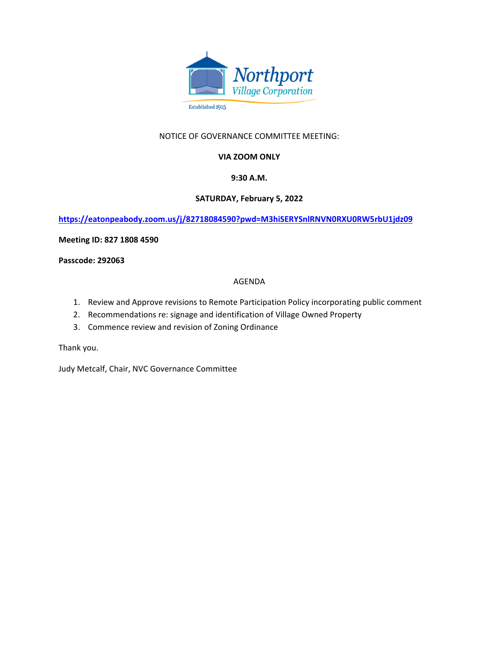

## NOTICE OF GOVERNANCE COMMITTEE MEETING:

### **VIA ZOOM ONLY**

#### **9:30 A.M.**

#### **SATURDAY, February 5, 2022**

**https://eatonpeabody.zoom.us/j/82718084590?pwd=M3hiSERYSnlRNVN0RXU0RW5rbU1jdz09**

**Meeting ID: 827 1808 4590**

**Passcode: 292063**

#### AGENDA

- 1. Review and Approve revisions to Remote Participation Policy incorporating public comment
- 2. Recommendations re: signage and identification of Village Owned Property
- 3. Commence review and revision of Zoning Ordinance

Thank you.

Judy Metcalf, Chair, NVC Governance Committee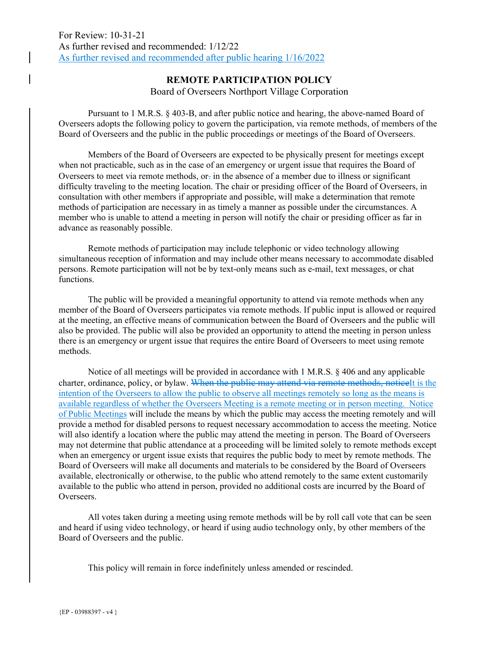# **REMOTE PARTICIPATION POLICY**

Board of Overseers Northport Village Corporation

Pursuant to 1 M.R.S. § 403-B, and after public notice and hearing, the above-named Board of Overseers adopts the following policy to govern the participation, via remote methods, of members of the Board of Overseers and the public in the public proceedings or meetings of the Board of Overseers.

Members of the Board of Overseers are expected to be physically present for meetings except when not practicable, such as in the case of an emergency or urgent issue that requires the Board of Overseers to meet via remote methods,  $or_{\tau}$  in the absence of a member due to illness or significant difficulty traveling to the meeting location. The chair or presiding officer of the Board of Overseers, in consultation with other members if appropriate and possible, will make a determination that remote methods of participation are necessary in as timely a manner as possible under the circumstances. A member who is unable to attend a meeting in person will notify the chair or presiding officer as far in advance as reasonably possible.

Remote methods of participation may include telephonic or video technology allowing simultaneous reception of information and may include other means necessary to accommodate disabled persons. Remote participation will not be by text-only means such as e-mail, text messages, or chat functions.

The public will be provided a meaningful opportunity to attend via remote methods when any member of the Board of Overseers participates via remote methods. If public input is allowed or required at the meeting, an effective means of communication between the Board of Overseers and the public will also be provided. The public will also be provided an opportunity to attend the meeting in person unless there is an emergency or urgent issue that requires the entire Board of Overseers to meet using remote methods.

Notice of all meetings will be provided in accordance with 1 M.R.S. § 406 and any applicable charter, ordinance, policy, or bylaw. When the public may attend via remote methods, noticeIt is the intention of the Overseers to allow the public to observe all meetings remotely so long as the means is available regardless of whether the Overseers Meeting is a remote meeting or in person meeting. Notice of Public Meetings will include the means by which the public may access the meeting remotely and will provide a method for disabled persons to request necessary accommodation to access the meeting. Notice will also identify a location where the public may attend the meeting in person. The Board of Overseers may not determine that public attendance at a proceeding will be limited solely to remote methods except when an emergency or urgent issue exists that requires the public body to meet by remote methods. The Board of Overseers will make all documents and materials to be considered by the Board of Overseers available, electronically or otherwise, to the public who attend remotely to the same extent customarily available to the public who attend in person, provided no additional costs are incurred by the Board of Overseers.

All votes taken during a meeting using remote methods will be by roll call vote that can be seen and heard if using video technology, or heard if using audio technology only, by other members of the Board of Overseers and the public.

This policy will remain in force indefinitely unless amended or rescinded.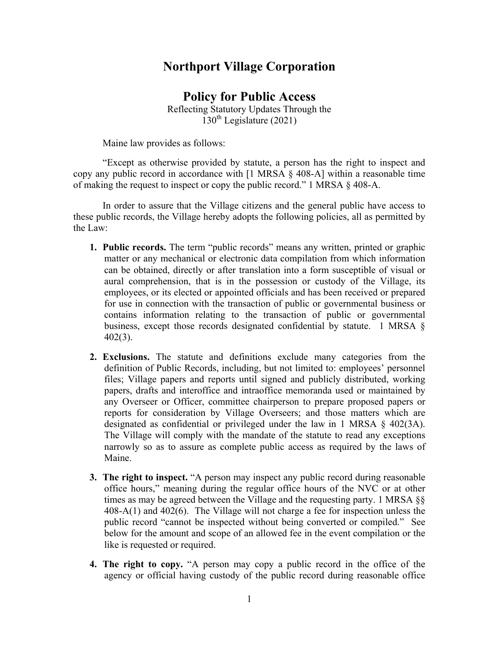# **Northport Village Corporation**

**Policy for Public Access**  Reflecting Statutory Updates Through the  $130<sup>th</sup>$  Legislature (2021)

Maine law provides as follows:

 "Except as otherwise provided by statute, a person has the right to inspect and copy any public record in accordance with [1 MRSA § 408-A] within a reasonable time of making the request to inspect or copy the public record." 1 MRSA § 408-A.

In order to assure that the Village citizens and the general public have access to these public records, the Village hereby adopts the following policies, all as permitted by the Law:

- **1. Public records.** The term "public records" means any written, printed or graphic matter or any mechanical or electronic data compilation from which information can be obtained, directly or after translation into a form susceptible of visual or aural comprehension, that is in the possession or custody of the Village, its employees, or its elected or appointed officials and has been received or prepared for use in connection with the transaction of public or governmental business or contains information relating to the transaction of public or governmental business, except those records designated confidential by statute. 1 MRSA § 402(3).
- **2. Exclusions.** The statute and definitions exclude many categories from the definition of Public Records, including, but not limited to: employees' personnel files; Village papers and reports until signed and publicly distributed, working papers, drafts and interoffice and intraoffice memoranda used or maintained by any Overseer or Officer, committee chairperson to prepare proposed papers or reports for consideration by Village Overseers; and those matters which are designated as confidential or privileged under the law in 1 MRSA  $\S$  402(3A). The Village will comply with the mandate of the statute to read any exceptions narrowly so as to assure as complete public access as required by the laws of Maine.
- **3. The right to inspect.** "A person may inspect any public record during reasonable office hours," meaning during the regular office hours of the NVC or at other times as may be agreed between the Village and the requesting party. 1 MRSA §§ 408-A(1) and 402(6). The Village will not charge a fee for inspection unless the public record "cannot be inspected without being converted or compiled." See below for the amount and scope of an allowed fee in the event compilation or the like is requested or required.
- **4. The right to copy.** "A person may copy a public record in the office of the agency or official having custody of the public record during reasonable office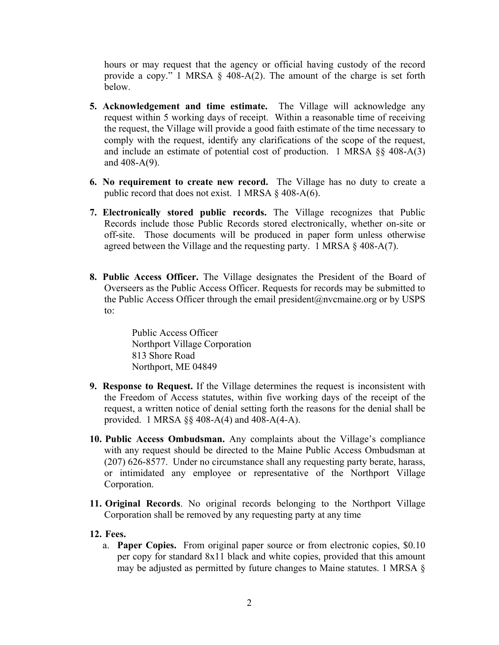hours or may request that the agency or official having custody of the record provide a copy." 1 MRSA § 408-A(2). The amount of the charge is set forth below.

- **5. Acknowledgement and time estimate.** The Village will acknowledge any request within 5 working days of receipt. Within a reasonable time of receiving the request, the Village will provide a good faith estimate of the time necessary to comply with the request, identify any clarifications of the scope of the request, and include an estimate of potential cost of production. 1 MRSA §§ 408-A(3) and 408-A(9).
- **6. No requirement to create new record.** The Village has no duty to create a public record that does not exist. 1 MRSA  $\&$  408-A(6).
- **7. Electronically stored public records.** The Village recognizes that Public Records include those Public Records stored electronically, whether on-site or off-site. Those documents will be produced in paper form unless otherwise agreed between the Village and the requesting party. 1 MRSA  $\S$  408-A(7).
- **8. Public Access Officer.** The Village designates the President of the Board of Overseers as the Public Access Officer. Requests for records may be submitted to the Public Access Officer through the email president@nvcmaine.org or by USPS to:

Public Access Officer Northport Village Corporation 813 Shore Road Northport, ME 04849

- **9. Response to Request.** If the Village determines the request is inconsistent with the Freedom of Access statutes, within five working days of the receipt of the request, a written notice of denial setting forth the reasons for the denial shall be provided. 1 MRSA §§ 408-A(4) and 408-A(4-A).
- **10. Public Access Ombudsman.** Any complaints about the Village's compliance with any request should be directed to the Maine Public Access Ombudsman at (207) 626-8577. Under no circumstance shall any requesting party berate, harass, or intimidated any employee or representative of the Northport Village Corporation.
- **11. Original Records**. No original records belonging to the Northport Village Corporation shall be removed by any requesting party at any time

#### **12. Fees.**

a. **Paper Copies.** From original paper source or from electronic copies, \$0.10 per copy for standard 8x11 black and white copies, provided that this amount may be adjusted as permitted by future changes to Maine statutes. 1 MRSA §